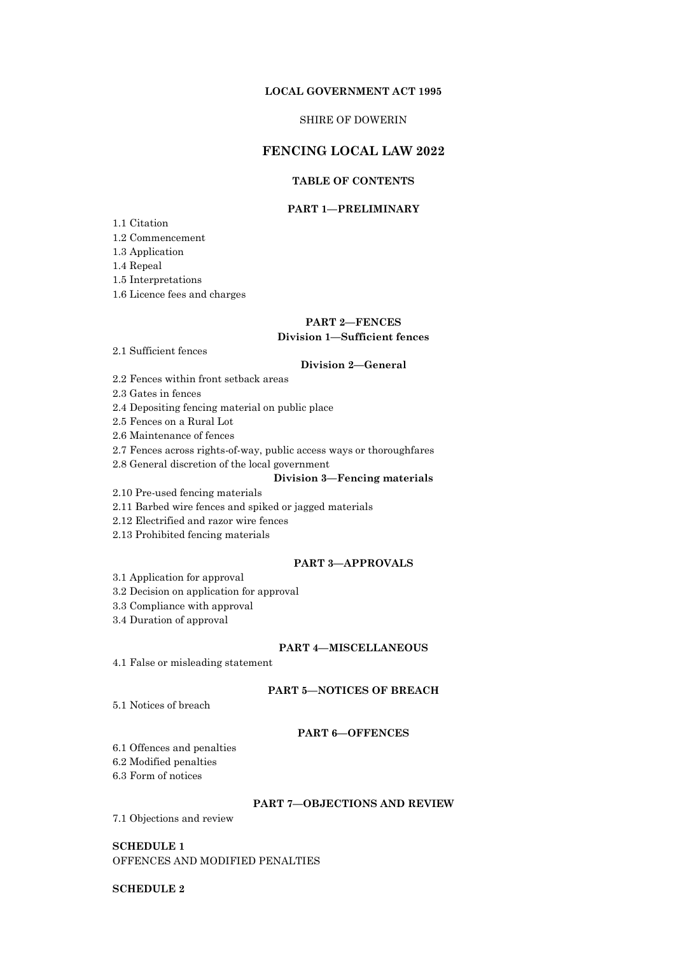#### **LOCAL GOVERNMENT ACT 1995**

## SHIRE OF DOWERIN

## **FENCING LOCAL LAW 2022**

# **TABLE OF CONTENTS**

## **PART 1—PRELIMINARY**

- 1.1 Citation
- 1.2 Commencement
- 1.3 Application
- 1.4 Repeal
- 1.5 Interpretations
- 1.6 Licence fees and charges

# **PART 2—FENCES**

### **Division 1—Sufficient fences**

2.1 Sufficient fences

## **Division 2—General**

- 2.2 Fences within front setback areas
- 2.3 Gates in fences
- 2.4 Depositing fencing material on public place
- 2.5 Fences on a Rural Lot
- 2.6 Maintenance of fences
- 2.7 Fences across rights-of-way, public access ways or thoroughfares
- 2.8 General discretion of the local government

## **Division 3—Fencing materials**

- 2.10 Pre-used fencing materials
- 2.11 Barbed wire fences and spiked or jagged materials
- 2.12 Electrified and razor wire fences
- 2.13 Prohibited fencing materials

## **PART 3—APPROVALS**

- 3.1 Application for approval
- 3.2 Decision on application for approval
- 3.3 Compliance with approval
- 3.4 Duration of approval

#### **PART 4—MISCELLANEOUS**

4.1 False or misleading statement

## **PART 5—NOTICES OF BREACH**

5.1 Notices of breach

#### **PART 6—OFFENCES**

- 6.1 Offences and penalties
- 6.2 Modified penalties
- 6.3 Form of notices

#### **PART 7—OBJECTIONS AND REVIEW**

7.1 Objections and review

**SCHEDULE 1** OFFENCES AND MODIFIED PENALTIES

## **SCHEDULE 2**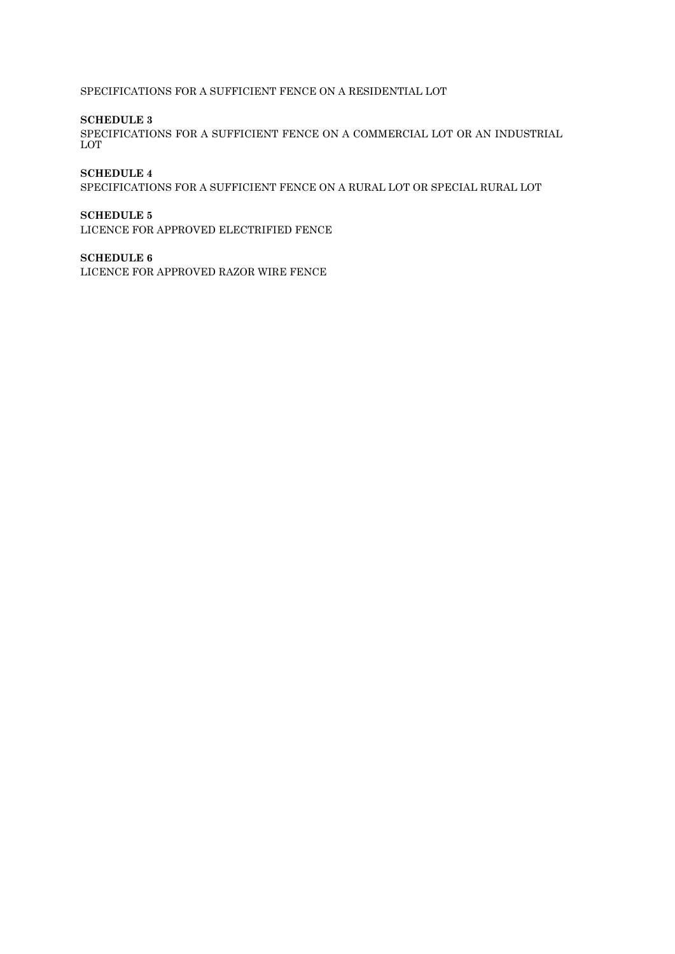SPECIFICATIONS FOR A SUFFICIENT FENCE ON A RESIDENTIAL LOT

## **SCHEDULE 3**

SPECIFICATIONS FOR A SUFFICIENT FENCE ON A COMMERCIAL LOT OR AN INDUSTRIAL LOT

## **SCHEDULE 4**

SPECIFICATIONS FOR A SUFFICIENT FENCE ON A RURAL LOT OR SPECIAL RURAL LOT

## **SCHEDULE 5**

LICENCE FOR APPROVED ELECTRIFIED FENCE

## **SCHEDULE 6**

LICENCE FOR APPROVED RAZOR WIRE FENCE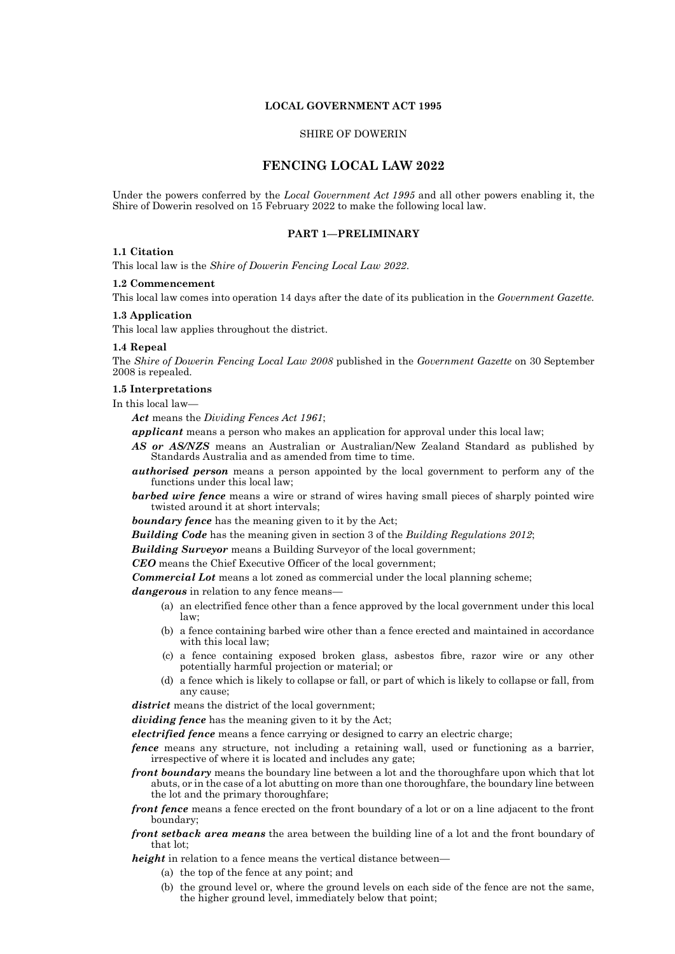## **LOCAL GOVERNMENT ACT 1995**

### SHIRE OF DOWERIN

## **FENCING LOCAL LAW 2022**

Under the powers conferred by the *Local Government Act 1995* and all other powers enabling it, the Shire of Dowerin resolved on 15 February 2022 to make the following local law.

#### **PART 1—PRELIMINARY**

#### **1.1 Citation**

This local law is the *Shire of Dowerin Fencing Local Law 2022*.

#### **1.2 Commencement**

This local law comes into operation 14 days after the date of its publication in the *Government Gazette.*

#### **1.3 Application**

This local law applies throughout the district.

#### **1.4 Repeal**

The *Shire of Dowerin Fencing Local Law 2008* published in the *Government Gazette* on 30 September 2008 is repealed.

#### **1.5 Interpretations**

In this local law—

*Act* means the *Dividing Fences Act 1961*;

*applicant* means a person who makes an application for approval under this local law;

- *AS or AS/NZS* means an Australian or Australian/New Zealand Standard as published by Standards Australia and as amended from time to time.
- *authorised person* means a person appointed by the local government to perform any of the functions under this local law;
- **barbed wire fence** means a wire or strand of wires having small pieces of sharply pointed wire twisted around it at short intervals;

*boundary fence* has the meaning given to it by the Act;

*Building Code* has the meaning given in section 3 of the *Building Regulations 2012*;

*Building Surveyor* means a Building Surveyor of the local government;

*CEO* means the Chief Executive Officer of the local government;

*Commercial Lot* means a lot zoned as commercial under the local planning scheme;

*dangerous* in relation to any fence means—

- (a) an electrified fence other than a fence approved by the local government under this local law;
- (b) a fence containing barbed wire other than a fence erected and maintained in accordance with this local law;
- (c) a fence containing exposed broken glass, asbestos fibre, razor wire or any other potentially harmful projection or material; or
- (d) a fence which is likely to collapse or fall, or part of which is likely to collapse or fall, from any cause;

district means the district of the local government;

*dividing fence* has the meaning given to it by the Act;

*electrified fence* means a fence carrying or designed to carry an electric charge;

- *fence* means any structure, not including a retaining wall, used or functioning as a barrier, irrespective of where it is located and includes any gate;
- *front boundary* means the boundary line between a lot and the thoroughfare upon which that lot abuts, or in the case of a lot abutting on more than one thoroughfare, the boundary line between the lot and the primary thoroughfare;
- *front fence* means a fence erected on the front boundary of a lot or on a line adjacent to the front boundary;
- *front setback area means* the area between the building line of a lot and the front boundary of that lot;
- *height* in relation to a fence means the vertical distance between—
	- (a) the top of the fence at any point; and
	- (b) the ground level or, where the ground levels on each side of the fence are not the same, the higher ground level, immediately below that point;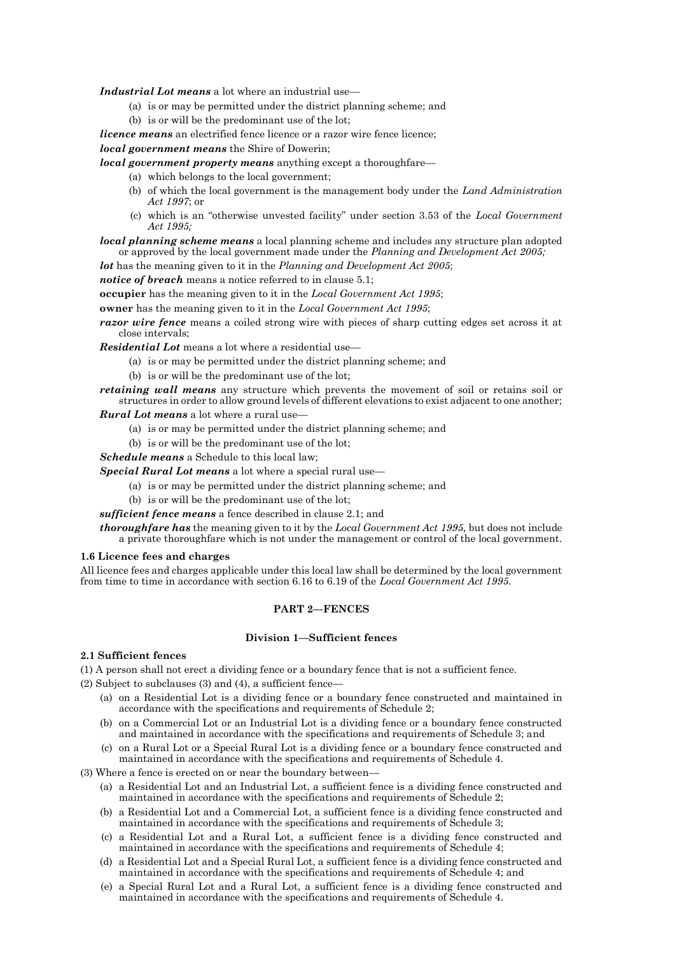*Industrial Lot means* a lot where an industrial use—

- (a) is or may be permitted under the district planning scheme; and
- (b) is or will be the predominant use of the lot;
- *licence means* an electrified fence licence or a razor wire fence licence;

*local government means* the Shire of Dowerin;

*local government property means* anything except a thoroughfare—

- (a) which belongs to the local government;
- (b) of which the local government is the management body under the *Land Administration Act 1997*; or
- (c) which is an "otherwise unvested facility" under section 3.53 of the *Local Government Act 1995;*
- *local planning scheme means* a local planning scheme and includes any structure plan adopted or approved by the local government made under the *Planning and Development Act 2005;*

*lot* has the meaning given to it in the *Planning and Development Act 2005*;

*notice of breach* means a notice referred to in clause 5.1;

**occupier** has the meaning given to it in the *Local Government Act 1995*;

**owner** has the meaning given to it in the *Local Government Act 1995*;

*razor wire fence* means a coiled strong wire with pieces of sharp cutting edges set across it at close intervals;

*Residential Lot* means a lot where a residential use—

- (a) is or may be permitted under the district planning scheme; and
- (b) is or will be the predominant use of the lot;
- *retaining wall means* any structure which prevents the movement of soil or retains soil or structures in order to allow ground levels of different elevations to exist adjacent to one another; *Rural Lot means* a lot where a rural use—

- (a) is or may be permitted under the district planning scheme; and
- (b) is or will be the predominant use of the lot;

*Schedule means* a Schedule to this local law;

*Special Rural Lot means* a lot where a special rural use—

- (a) is or may be permitted under the district planning scheme; and
- (b) is or will be the predominant use of the lot;

*sufficient fence means* a fence described in clause 2.1; and

*thoroughfare has* the meaning given to it by the *Local Government Act 1995,* but does not include a private thoroughfare which is not under the management or control of the local government.

#### **1.6 Licence fees and charges**

All licence fees and charges applicable under this local law shall be determined by the local government from time to time in accordance with section 6.16 to 6.19 of the *Local Government Act 1995*.

## **PART 2—FENCES**

## **Division 1—Sufficient fences**

## **2.1 Sufficient fences**

(1) A person shall not erect a dividing fence or a boundary fence that is not a sufficient fence.

 $(2)$  Subject to subclauses  $(3)$  and  $(4)$ , a sufficient fence-

- (a) on a Residential Lot is a dividing fence or a boundary fence constructed and maintained in accordance with the specifications and requirements of Schedule 2;
- (b) on a Commercial Lot or an Industrial Lot is a dividing fence or a boundary fence constructed and maintained in accordance with the specifications and requirements of Schedule 3; and
- (c) on a Rural Lot or a Special Rural Lot is a dividing fence or a boundary fence constructed and maintained in accordance with the specifications and requirements of Schedule 4.

(3) Where a fence is erected on or near the boundary between-

- (a) a Residential Lot and an Industrial Lot, a sufficient fence is a dividing fence constructed and maintained in accordance with the specifications and requirements of Schedule 2;
- (b) a Residential Lot and a Commercial Lot, a sufficient fence is a dividing fence constructed and maintained in accordance with the specifications and requirements of Schedule 3;
- (c) a Residential Lot and a Rural Lot, a sufficient fence is a dividing fence constructed and maintained in accordance with the specifications and requirements of Schedule 4;
- (d) a Residential Lot and a Special Rural Lot, a sufficient fence is a dividing fence constructed and maintained in accordance with the specifications and requirements of Schedule 4; and
- (e) a Special Rural Lot and a Rural Lot, a sufficient fence is a dividing fence constructed and maintained in accordance with the specifications and requirements of Schedule 4.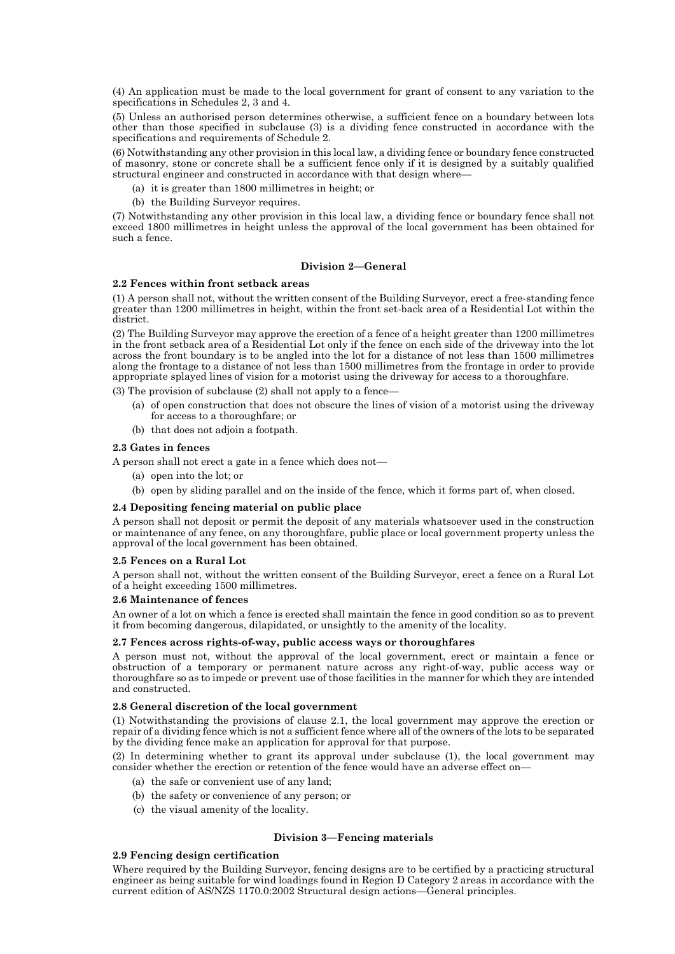(4) An application must be made to the local government for grant of consent to any variation to the specifications in Schedules 2, 3 and 4.

(5) Unless an authorised person determines otherwise, a sufficient fence on a boundary between lots other than those specified in subclause (3) is a dividing fence constructed in accordance with the specifications and requirements of Schedule 2.

(6) Notwithstanding any other provision in this local law, a dividing fence or boundary fence constructed of masonry, stone or concrete shall be a sufficient fence only if it is designed by a suitably qualified structural engineer and constructed in accordance with that design where—

- (a) it is greater than 1800 millimetres in height; or
- (b) the Building Surveyor requires.

(7) Notwithstanding any other provision in this local law, a dividing fence or boundary fence shall not exceed 1800 millimetres in height unless the approval of the local government has been obtained for such a fence.

### **Division 2—General**

#### **2.2 Fences within front setback areas**

(1) A person shall not, without the written consent of the Building Surveyor, erect a free-standing fence greater than 1200 millimetres in height, within the front set-back area of a Residential Lot within the district.

(2) The Building Surveyor may approve the erection of a fence of a height greater than 1200 millimetres in the front setback area of a Residential Lot only if the fence on each side of the driveway into the lot across the front boundary is to be angled into the lot for a distance of not less than 1500 millimetres along the frontage to a distance of not less than 1500 millimetres from the frontage in order to provide appropriate splayed lines of vision for a motorist using the driveway for access to a thoroughfare.

(3) The provision of subclause (2) shall not apply to a fence—

- (a) of open construction that does not obscure the lines of vision of a motorist using the driveway for access to a thoroughfare; or
- (b) that does not adjoin a footpath.

#### **2.3 Gates in fences**

A person shall not erect a gate in a fence which does not—

- (a) open into the lot; or
- (b) open by sliding parallel and on the inside of the fence, which it forms part of, when closed.

#### **2.4 Depositing fencing material on public place**

A person shall not deposit or permit the deposit of any materials whatsoever used in the construction or maintenance of any fence, on any thoroughfare, public place or local government property unless the approval of the local government has been obtained.

#### **2.5 Fences on a Rural Lot**

A person shall not, without the written consent of the Building Surveyor, erect a fence on a Rural Lot of a height exceeding 1500 millimetres.

#### **2.6 Maintenance of fences**

An owner of a lot on which a fence is erected shall maintain the fence in good condition so as to prevent it from becoming dangerous, dilapidated, or unsightly to the amenity of the locality.

### **2.7 Fences across rights-of-way, public access ways or thoroughfares**

A person must not, without the approval of the local government, erect or maintain a fence or obstruction of a temporary or permanent nature across any right-of-way, public access way or thoroughfare so as to impede or prevent use of those facilities in the manner for which they are intended and constructed.

### **2.8 General discretion of the local government**

(1) Notwithstanding the provisions of clause 2.1, the local government may approve the erection or repair of a dividing fence which is not a sufficient fence where all of the owners of the lots to be separated by the dividing fence make an application for approval for that purpose.

(2) In determining whether to grant its approval under subclause (1), the local government may consider whether the erection or retention of the fence would have an adverse effect on-

- (a) the safe or convenient use of any land;
- (b) the safety or convenience of any person; or
- (c) the visual amenity of the locality.

#### **Division 3—Fencing materials**

### **2.9 Fencing design certification**

Where required by the Building Surveyor, fencing designs are to be certified by a practicing structural engineer as being suitable for wind loadings found in Region D Category 2 areas in accordance with the current edition of AS/NZS 1170.0:2002 Structural design actions—General principles.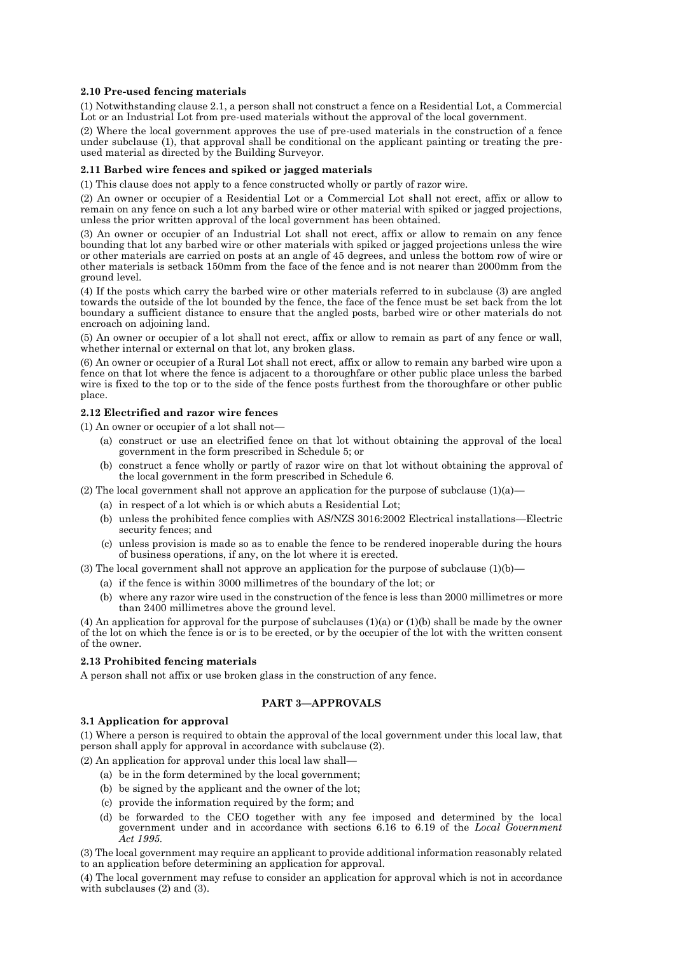### **2.10 Pre-used fencing materials**

(1) Notwithstanding clause 2.1, a person shall not construct a fence on a Residential Lot, a Commercial Lot or an Industrial Lot from pre-used materials without the approval of the local government.

(2) Where the local government approves the use of pre-used materials in the construction of a fence under subclause (1), that approval shall be conditional on the applicant painting or treating the preused material as directed by the Building Surveyor.

#### **2.11 Barbed wire fences and spiked or jagged materials**

(1) This clause does not apply to a fence constructed wholly or partly of razor wire.

(2) An owner or occupier of a Residential Lot or a Commercial Lot shall not erect, affix or allow to remain on any fence on such a lot any barbed wire or other material with spiked or jagged projections, unless the prior written approval of the local government has been obtained.

(3) An owner or occupier of an Industrial Lot shall not erect, affix or allow to remain on any fence bounding that lot any barbed wire or other materials with spiked or jagged projections unless the wire or other materials are carried on posts at an angle of 45 degrees, and unless the bottom row of wire or other materials is setback 150mm from the face of the fence and is not nearer than 2000mm from the ground level.

(4) If the posts which carry the barbed wire or other materials referred to in subclause (3) are angled towards the outside of the lot bounded by the fence, the face of the fence must be set back from the lot boundary a sufficient distance to ensure that the angled posts, barbed wire or other materials do not encroach on adjoining land.

(5) An owner or occupier of a lot shall not erect, affix or allow to remain as part of any fence or wall, whether internal or external on that lot, any broken glass.

(6) An owner or occupier of a Rural Lot shall not erect, affix or allow to remain any barbed wire upon a fence on that lot where the fence is adjacent to a thoroughfare or other public place unless the barbed wire is fixed to the top or to the side of the fence posts furthest from the thoroughfare or other public place.

#### **2.12 Electrified and razor wire fences**

(1) An owner or occupier of a lot shall not—

- (a) construct or use an electrified fence on that lot without obtaining the approval of the local government in the form prescribed in Schedule 5; or
- (b) construct a fence wholly or partly of razor wire on that lot without obtaining the approval of the local government in the form prescribed in Schedule 6.

(2) The local government shall not approve an application for the purpose of subclause  $(1)(a)$ —

- (a) in respect of a lot which is or which abuts a Residential Lot;
- (b) unless the prohibited fence complies with AS/NZS 3016:2002 Electrical installations—Electric security fences; and
- (c) unless provision is made so as to enable the fence to be rendered inoperable during the hours of business operations, if any, on the lot where it is erected.

(3) The local government shall not approve an application for the purpose of subclause  $(1)(b)$ —

- (a) if the fence is within 3000 millimetres of the boundary of the lot; or
- (b) where any razor wire used in the construction of the fence is less than 2000 millimetres or more than 2400 millimetres above the ground level.

(4) An application for approval for the purpose of subclauses (1)(a) or (1)(b) shall be made by the owner of the lot on which the fence is or is to be erected, or by the occupier of the lot with the written consent of the owner.

## **2.13 Prohibited fencing materials**

A person shall not affix or use broken glass in the construction of any fence.

## **PART 3—APPROVALS**

### **3.1 Application for approval**

(1) Where a person is required to obtain the approval of the local government under this local law, that person shall apply for approval in accordance with subclause (2).

(2) An application for approval under this local law shall—

- (a) be in the form determined by the local government;
- (b) be signed by the applicant and the owner of the lot;
- (c) provide the information required by the form; and
- (d) be forwarded to the CEO together with any fee imposed and determined by the local government under and in accordance with sections 6.16 to 6.19 of the *Local Government Act 1995.*

(3) The local government may require an applicant to provide additional information reasonably related to an application before determining an application for approval.

(4) The local government may refuse to consider an application for approval which is not in accordance with subclauses (2) and (3).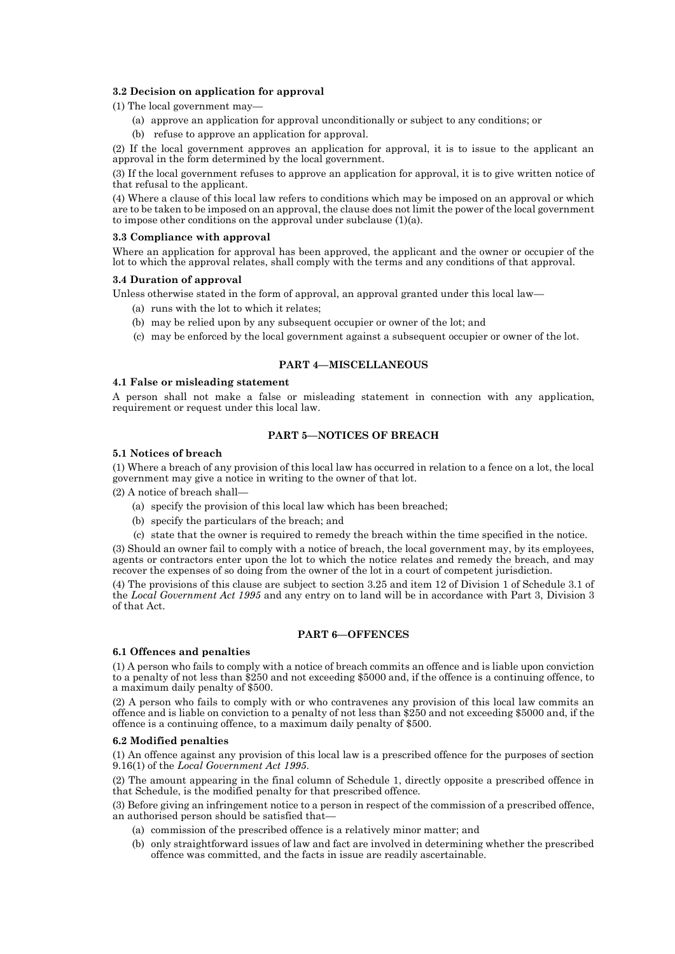## **3.2 Decision on application for approval**

(1) The local government may—

- (a) approve an application for approval unconditionally or subject to any conditions; or
- (b) refuse to approve an application for approval.

(2) If the local government approves an application for approval, it is to issue to the applicant an approval in the form determined by the local government.

(3) If the local government refuses to approve an application for approval, it is to give written notice of that refusal to the applicant.

(4) Where a clause of this local law refers to conditions which may be imposed on an approval or which are to be taken to be imposed on an approval, the clause does not limit the power of the local government to impose other conditions on the approval under subclause (1)(a).

#### **3.3 Compliance with approval**

Where an application for approval has been approved, the applicant and the owner or occupier of the lot to which the approval relates, shall comply with the terms and any conditions of that approval.

#### **3.4 Duration of approval**

Unless otherwise stated in the form of approval, an approval granted under this local law—

- (a) runs with the lot to which it relates;
- (b) may be relied upon by any subsequent occupier or owner of the lot; and
- (c) may be enforced by the local government against a subsequent occupier or owner of the lot.

#### **PART 4—MISCELLANEOUS**

#### **4.1 False or misleading statement**

A person shall not make a false or misleading statement in connection with any application, requirement or request under this local law.

## **PART 5—NOTICES OF BREACH**

#### **5.1 Notices of breach**

(1) Where a breach of any provision of this local law has occurred in relation to a fence on a lot, the local government may give a notice in writing to the owner of that lot.

(2) A notice of breach shall—

- (a) specify the provision of this local law which has been breached;
- (b) specify the particulars of the breach; and
- (c) state that the owner is required to remedy the breach within the time specified in the notice.

(3) Should an owner fail to comply with a notice of breach, the local government may, by its employees, agents or contractors enter upon the lot to which the notice relates and remedy the breach, and may recover the expenses of so doing from the owner of the lot in a court of competent jurisdiction.

(4) The provisions of this clause are subject to section 3.25 and item 12 of Division 1 of Schedule 3.1 of the *Local Government Act 1995* and any entry on to land will be in accordance with Part 3, Division 3 of that Act.

## **PART 6—OFFENCES**

## **6.1 Offences and penalties**

(1) A person who fails to comply with a notice of breach commits an offence and is liable upon conviction to a penalty of not less than \$250 and not exceeding \$5000 and, if the offence is a continuing offence, to a maximum daily penalty of \$500.

(2) A person who fails to comply with or who contravenes any provision of this local law commits an offence and is liable on conviction to a penalty of not less than \$250 and not exceeding \$5000 and, if the offence is a continuing offence, to a maximum daily penalty of \$500.

## **6.2 Modified penalties**

(1) An offence against any provision of this local law is a prescribed offence for the purposes of section 9.16(1) of the *Local Government Act 1995*.

(2) The amount appearing in the final column of Schedule 1, directly opposite a prescribed offence in that Schedule, is the modified penalty for that prescribed offence.

(3) Before giving an infringement notice to a person in respect of the commission of a prescribed offence, an authorised person should be satisfied that—

- (a) commission of the prescribed offence is a relatively minor matter; and
- (b) only straightforward issues of law and fact are involved in determining whether the prescribed offence was committed, and the facts in issue are readily ascertainable.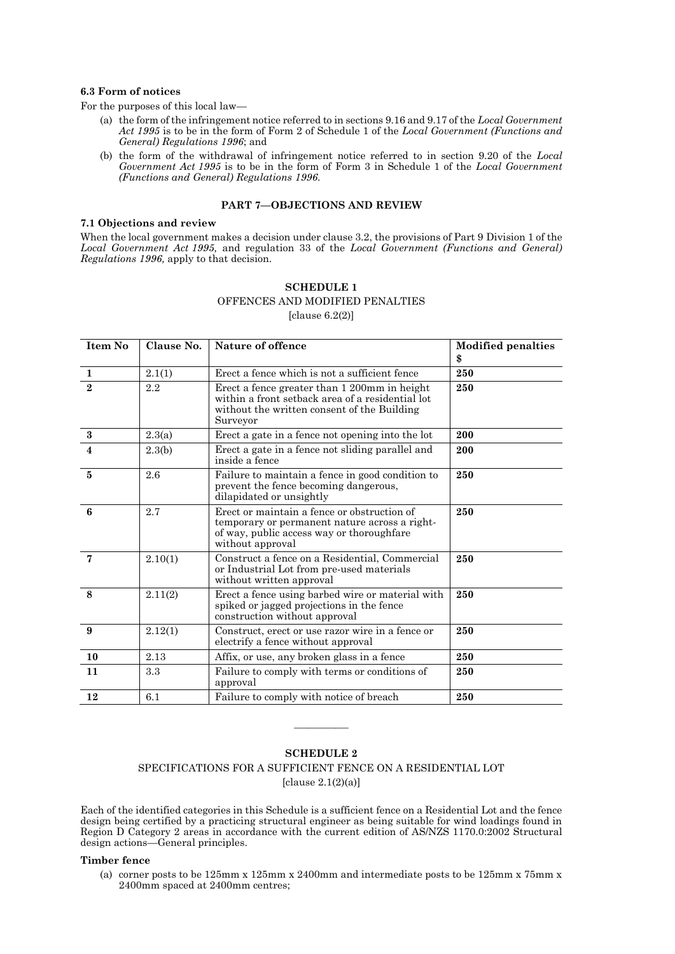#### **6.3 Form of notices**

For the purposes of this local law—

- (a) the form of the infringement notice referred to in sections 9.16 and 9.17 of the *Local Government Act 1995* is to be in the form of Form 2 of Schedule 1 of the *Local Government (Functions and General) Regulations 1996*; and
- (b) the form of the withdrawal of infringement notice referred to in section 9.20 of the *Local Government Act 1995* is to be in the form of Form 3 in Schedule 1 of the *Local Government (Functions and General) Regulations 1996*.

## **PART 7—OBJECTIONS AND REVIEW**

#### **7.1 Objections and review**

When the local government makes a decision under clause 3.2, the provisions of Part 9 Division 1 of the *Local Government Act 1995,* and regulation 33 of the *Local Government (Functions and General) Regulations 1996,* apply to that decision.

# **SCHEDULE 1** OFFENCES AND MODIFIED PENALTIES

[clause 6.2(2)]

| Item No                 | Clause No. | Nature of offence                                                                                                                                             | <b>Modified penalties</b><br>\$ |
|-------------------------|------------|---------------------------------------------------------------------------------------------------------------------------------------------------------------|---------------------------------|
| $\mathbf{1}$            | 2.1(1)     | Erect a fence which is not a sufficient fence                                                                                                                 | 250                             |
| $\mathbf{2}$            | 2.2        | Erect a fence greater than 1 200mm in height<br>within a front setback area of a residential lot<br>without the written consent of the Building<br>Surveyor   | 250                             |
| $\bf{3}$                | 2.3(a)     | Erect a gate in a fence not opening into the lot                                                                                                              | 200                             |
| $\overline{\mathbf{4}}$ | 2.3(b)     | Erect a gate in a fence not sliding parallel and<br>inside a fence                                                                                            | 200                             |
| 5                       | 2.6        | Failure to maintain a fence in good condition to<br>prevent the fence becoming dangerous,<br>dilapidated or unsightly                                         | 250                             |
| 6                       | 2.7        | Erect or maintain a fence or obstruction of<br>temporary or permanent nature across a right-<br>of way, public access way or thoroughfare<br>without approval | 250                             |
| $\overline{7}$          | 2.10(1)    | Construct a fence on a Residential, Commercial<br>or Industrial Lot from pre-used materials<br>without written approval                                       | 250                             |
| 8                       | 2.11(2)    | Erect a fence using barbed wire or material with<br>spiked or jagged projections in the fence<br>construction without approval                                | 250                             |
| 9                       | 2.12(1)    | Construct, erect or use razor wire in a fence or<br>electrify a fence without approval                                                                        | 250                             |
| 10                      | 2.13       | Affix, or use, any broken glass in a fence                                                                                                                    | 250                             |
| 11                      | 3.3        | Failure to comply with terms or conditions of<br>approval                                                                                                     | 250                             |
| 12                      | 6.1        | Failure to comply with notice of breach                                                                                                                       | 250                             |

## **SCHEDULE 2**

————

SPECIFICATIONS FOR A SUFFICIENT FENCE ON A RESIDENTIAL LOT [clause  $2.1(2)(a)$ ]

Each of the identified categories in this Schedule is a sufficient fence on a Residential Lot and the fence design being certified by a practicing structural engineer as being suitable for wind loadings found in Region D Category 2 areas in accordance with the current edition of AS/NZS 1170.0:2002 Structural design actions—General principles.

#### **Timber fence**

(a) corner posts to be 125mm x 125mm x 2400mm and intermediate posts to be 125mm x 75mm x 2400mm spaced at 2400mm centres;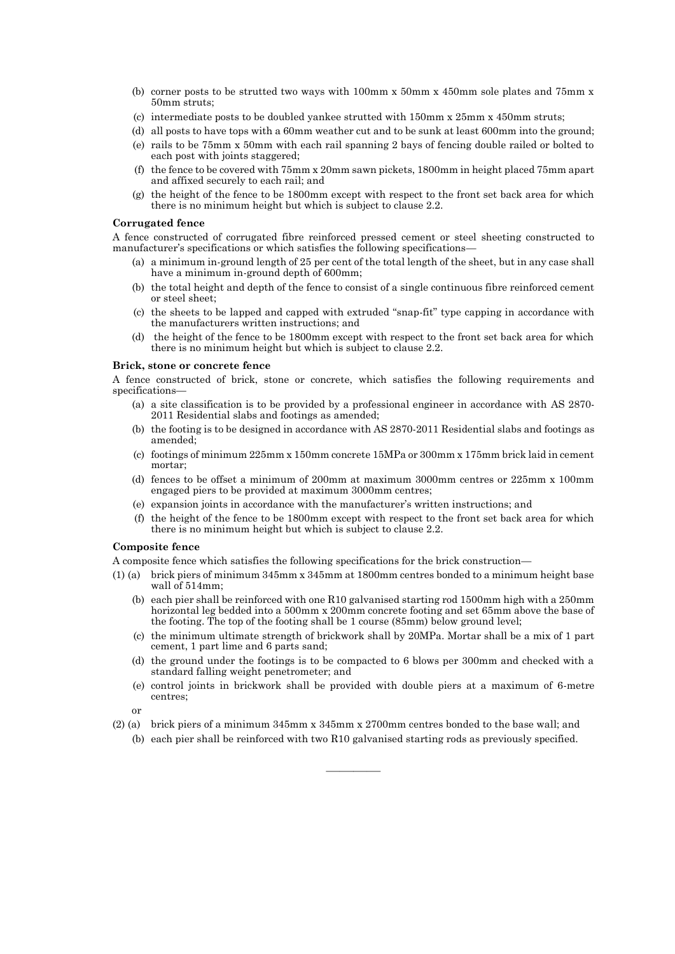- (b) corner posts to be strutted two ways with 100mm x 50mm x 450mm sole plates and 75mm x 50mm struts;
- (c) intermediate posts to be doubled yankee strutted with 150mm x 25mm x 450mm struts;
- (d) all posts to have tops with a 60mm weather cut and to be sunk at least 600mm into the ground;
- (e) rails to be 75mm x 50mm with each rail spanning 2 bays of fencing double railed or bolted to each post with joints staggered;
- (f) the fence to be covered with 75mm x 20mm sawn pickets, 1800mm in height placed 75mm apart and affixed securely to each rail; and
- (g) the height of the fence to be 1800mm except with respect to the front set back area for which there is no minimum height but which is subject to clause 2.2.

#### **Corrugated fence**

A fence constructed of corrugated fibre reinforced pressed cement or steel sheeting constructed to manufacturer's specifications or which satisfies the following specifications-

- (a) a minimum in-ground length of 25 per cent of the total length of the sheet, but in any case shall have a minimum in-ground depth of 600mm;
- (b) the total height and depth of the fence to consist of a single continuous fibre reinforced cement or steel sheet;
- (c) the sheets to be lapped and capped with extruded "snap-fit" type capping in accordance with the manufacturers written instructions; and
- (d) the height of the fence to be 1800mm except with respect to the front set back area for which there is no minimum height but which is subject to clause 2.2.

#### **Brick, stone or concrete fence**

A fence constructed of brick, stone or concrete, which satisfies the following requirements and specifications—

- (a) a site classification is to be provided by a professional engineer in accordance with AS 2870- 2011 Residential slabs and footings as amended;
- (b) the footing is to be designed in accordance with AS 2870-2011 Residential slabs and footings as amended;
- (c) footings of minimum 225mm x 150mm concrete 15MPa or 300mm x 175mm brick laid in cement mortar;
- (d) fences to be offset a minimum of 200mm at maximum 3000mm centres or 225mm x 100mm engaged piers to be provided at maximum 3000mm centres;
- (e) expansion joints in accordance with the manufacturer's written instructions; and
- (f) the height of the fence to be 1800mm except with respect to the front set back area for which there is no minimum height but which is subject to clause 2.2.

#### **Composite fence**

A composite fence which satisfies the following specifications for the brick construction—

- (1) (a) brick piers of minimum 345mm x 345mm at 1800mm centres bonded to a minimum height base wall of 514mm;
	- (b) each pier shall be reinforced with one R10 galvanised starting rod 1500mm high with a 250mm horizontal leg bedded into a 500mm x 200mm concrete footing and set 65mm above the base of the footing. The top of the footing shall be 1 course (85mm) below ground level;
	- (c) the minimum ultimate strength of brickwork shall by 20MPa. Mortar shall be a mix of 1 part cement, 1 part lime and 6 parts sand;
	- (d) the ground under the footings is to be compacted to 6 blows per 300mm and checked with a standard falling weight penetrometer; and
	- (e) control joints in brickwork shall be provided with double piers at a maximum of 6-metre centres;
	- or
- (2) (a) brick piers of a minimum 345mm x 345mm x 2700mm centres bonded to the base wall; and
	- (b) each pier shall be reinforced with two R10 galvanised starting rods as previously specified.

————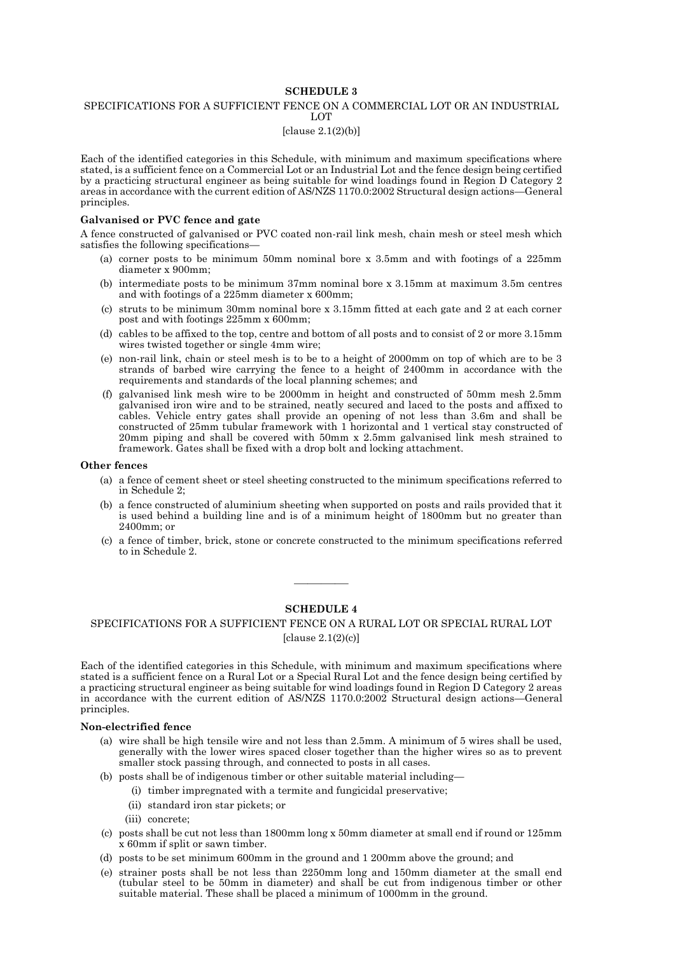## **SCHEDULE 3**

#### SPECIFICATIONS FOR A SUFFICIENT FENCE ON A COMMERCIAL LOT OR AN INDUSTRIAL LOT

## [clause 2.1(2)(b)]

Each of the identified categories in this Schedule, with minimum and maximum specifications where stated, is a sufficient fence on a Commercial Lot or an Industrial Lot and the fence design being certified by a practicing structural engineer as being suitable for wind loadings found in Region D Category 2 areas in accordance with the current edition of AS/NZS 1170.0:2002 Structural design actions—General principles.

#### **Galvanised or PVC fence and gate**

A fence constructed of galvanised or PVC coated non-rail link mesh, chain mesh or steel mesh which satisfies the following specifications—

- (a) corner posts to be minimum 50mm nominal bore x 3.5mm and with footings of a 225mm diameter x 900mm;
- (b) intermediate posts to be minimum 37mm nominal bore x 3.15mm at maximum 3.5m centres and with footings of a 225mm diameter x 600mm;
- (c) struts to be minimum 30mm nominal bore x 3.15mm fitted at each gate and 2 at each corner post and with footings 225mm x 600mm;
- (d) cables to be affixed to the top, centre and bottom of all posts and to consist of 2 or more 3.15mm wires twisted together or single 4mm wire;
- (e) non-rail link, chain or steel mesh is to be to a height of 2000mm on top of which are to be 3 strands of barbed wire carrying the fence to a height of 2400mm in accordance with the requirements and standards of the local planning schemes; and
- (f) galvanised link mesh wire to be 2000mm in height and constructed of 50mm mesh 2.5mm galvanised iron wire and to be strained, neatly secured and laced to the posts and affixed to cables. Vehicle entry gates shall provide an opening of not less than 3.6m and shall be constructed of 25mm tubular framework with 1 horizontal and 1 vertical stay constructed of 20mm piping and shall be covered with 50mm x 2.5mm galvanised link mesh strained to framework. Gates shall be fixed with a drop bolt and locking attachment.

#### **Other fences**

- (a) a fence of cement sheet or steel sheeting constructed to the minimum specifications referred to in Schedule 2;
- (b) a fence constructed of aluminium sheeting when supported on posts and rails provided that it is used behind a building line and is of a minimum height of 1800mm but no greater than 2400mm; or
- (c) a fence of timber, brick, stone or concrete constructed to the minimum specifications referred to in Schedule 2.

### **SCHEDULE 4**

————

## SPECIFICATIONS FOR A SUFFICIENT FENCE ON A RURAL LOT OR SPECIAL RURAL LOT [clause 2.1(2)(c)]

Each of the identified categories in this Schedule, with minimum and maximum specifications where stated is a sufficient fence on a Rural Lot or a Special Rural Lot and the fence design being certified by a practicing structural engineer as being suitable for wind loadings found in Region D Category 2 areas in accordance with the current edition of AS/NZS 1170.0:2002 Structural design actions—General principles.

#### **Non-electrified fence**

- (a) wire shall be high tensile wire and not less than 2.5mm. A minimum of 5 wires shall be used, generally with the lower wires spaced closer together than the higher wires so as to prevent smaller stock passing through, and connected to posts in all cases.
- (b) posts shall be of indigenous timber or other suitable material including—
	- (i) timber impregnated with a termite and fungicidal preservative;
	- (ii) standard iron star pickets; or
	- (iii) concrete;
- (c) posts shall be cut not less than 1800mm long x 50mm diameter at small end if round or 125mm x 60mm if split or sawn timber.
- (d) posts to be set minimum 600mm in the ground and 1 200mm above the ground; and
- (e) strainer posts shall be not less than 2250mm long and 150mm diameter at the small end (tubular steel to be 50mm in diameter) and shall be cut from indigenous timber or other suitable material. These shall be placed a minimum of 1000mm in the ground.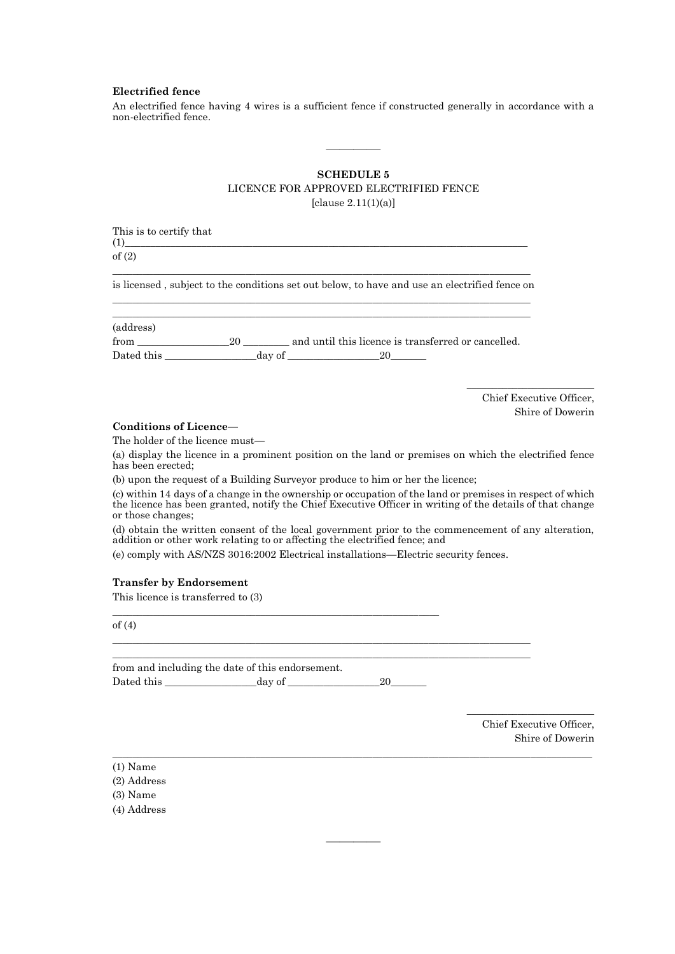#### **Electrified fence**

An electrified fence having 4 wires is a sufficient fence if constructed generally in accordance with a non-electrified fence.

# **SCHEDULE 5**

————

## LICENCE FOR APPROVED ELECTRIFIED FENCE

[clause 2.11(1)(a)]

| This is to certify that<br>(1)                                                                                                                                                                                                              |  |  |  |  |  |                          |
|---------------------------------------------------------------------------------------------------------------------------------------------------------------------------------------------------------------------------------------------|--|--|--|--|--|--------------------------|
| of $(2)$                                                                                                                                                                                                                                    |  |  |  |  |  |                          |
| is licensed, subject to the conditions set out below, to have and use an electrified fence on                                                                                                                                               |  |  |  |  |  |                          |
| (address)                                                                                                                                                                                                                                   |  |  |  |  |  |                          |
|                                                                                                                                                                                                                                             |  |  |  |  |  |                          |
|                                                                                                                                                                                                                                             |  |  |  |  |  | Chief Executive Officer, |
| <b>Conditions of Licence</b>                                                                                                                                                                                                                |  |  |  |  |  | Shire of Dowerin         |
| The holder of the licence must—                                                                                                                                                                                                             |  |  |  |  |  |                          |
| (a) display the licence in a prominent position on the land or premises on which the electrified fence<br>has been erected:                                                                                                                 |  |  |  |  |  |                          |
| (b) upon the request of a Building Surveyor produce to him or her the licence;                                                                                                                                                              |  |  |  |  |  |                          |
| (c) within 14 days of a change in the ownership or occupation of the land or premises in respect of which<br>the licence has been granted, notify the Chief Executive Officer in writing of the details of that change<br>or those changes: |  |  |  |  |  |                          |
| (d) obtain the written consent of the local government prior to the commencement of any alteration,<br>addition or other work relating to or affecting the electrified fence; and                                                           |  |  |  |  |  |                          |
| (e) comply with AS/NZS 3016:2002 Electrical installations—Electric security fences.                                                                                                                                                         |  |  |  |  |  |                          |
| <b>Transfer by Endorsement</b>                                                                                                                                                                                                              |  |  |  |  |  |                          |
| This licence is transferred to (3)                                                                                                                                                                                                          |  |  |  |  |  |                          |
| of $(4)$                                                                                                                                                                                                                                    |  |  |  |  |  |                          |
|                                                                                                                                                                                                                                             |  |  |  |  |  |                          |

 $\_$  ,  $\_$  ,  $\_$  ,  $\_$  ,  $\_$  ,  $\_$  ,  $\_$  ,  $\_$  ,  $\_$  ,  $\_$  ,  $\_$  ,  $\_$  ,  $\_$  ,  $\_$  ,  $\_$  ,  $\_$  ,  $\_$  ,  $\_$  ,  $\_$  ,  $\_$  ,  $\_$  ,  $\_$  ,  $\_$  ,  $\_$  ,  $\_$  ,  $\_$  ,  $\_$  ,  $\_$  ,  $\_$  ,  $\_$  ,  $\_$  ,  $\_$  ,  $\_$  ,  $\_$  ,  $\_$  ,  $\_$  ,  $\_$  ,

————

|            | from and including the date of this endorsement. |  |
|------------|--------------------------------------------------|--|
| Dated this | day of                                           |  |

Chief Executive Officer, Shire of Dowerin

\_\_\_\_\_\_\_\_\_\_\_\_\_\_\_\_\_\_\_\_\_\_\_\_\_

|  | (1) Name |
|--|----------|
|--|----------|

|  | (2) Address |
|--|-------------|
|--|-------------|

(3) Name

(4) Address